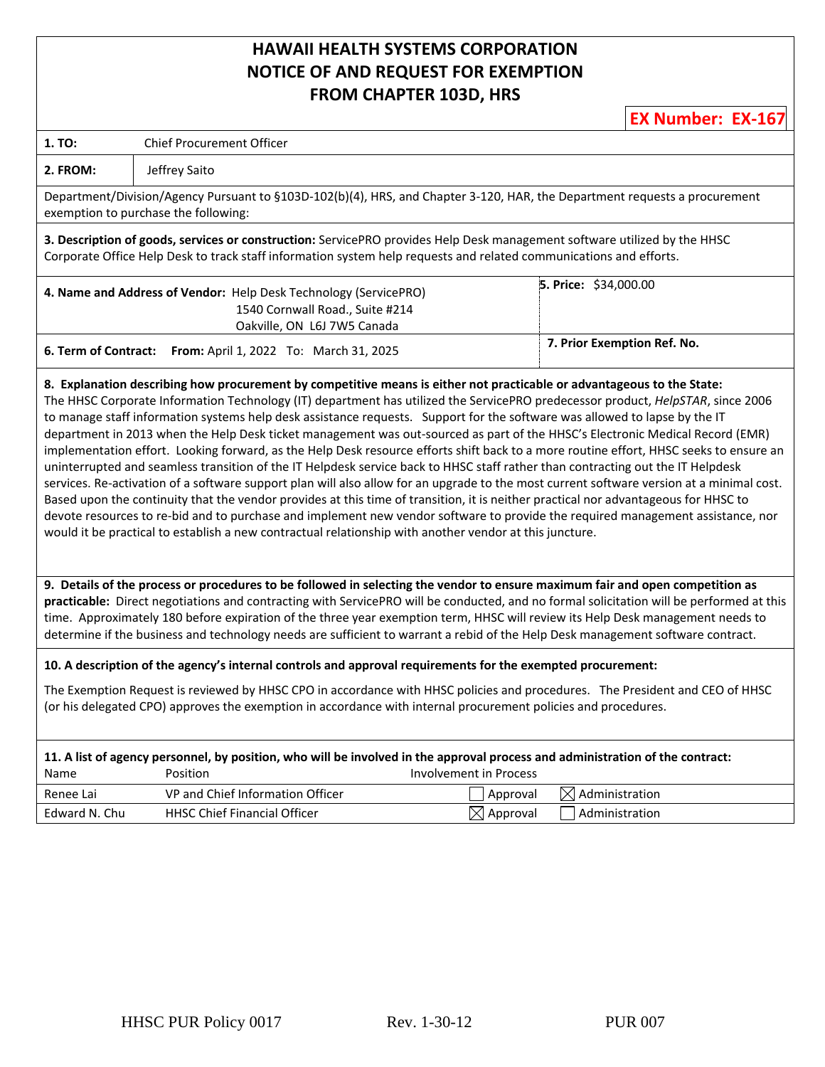## **HAWAII HEALTH SYSTEMS CORPORATION NOTICE OF AND REQUEST FOR EXEMPTION FROM CHAPTER 103D, HRS**

**EX Number: EX-167**

| 1. TO:                                                                                                                                                                                                                                                                                                                                                                                                                                                                                                                                                                                                                                                                                                                                                                                                                                                                                                                                                                                                                                                                                                                                                                                                        | Chief Procurement Officer                                                                                                                                                                                                                                                                                                                                                                                                                                                                                                                      |                             |  |
|---------------------------------------------------------------------------------------------------------------------------------------------------------------------------------------------------------------------------------------------------------------------------------------------------------------------------------------------------------------------------------------------------------------------------------------------------------------------------------------------------------------------------------------------------------------------------------------------------------------------------------------------------------------------------------------------------------------------------------------------------------------------------------------------------------------------------------------------------------------------------------------------------------------------------------------------------------------------------------------------------------------------------------------------------------------------------------------------------------------------------------------------------------------------------------------------------------------|------------------------------------------------------------------------------------------------------------------------------------------------------------------------------------------------------------------------------------------------------------------------------------------------------------------------------------------------------------------------------------------------------------------------------------------------------------------------------------------------------------------------------------------------|-----------------------------|--|
| 2. FROM:                                                                                                                                                                                                                                                                                                                                                                                                                                                                                                                                                                                                                                                                                                                                                                                                                                                                                                                                                                                                                                                                                                                                                                                                      | Jeffrey Saito                                                                                                                                                                                                                                                                                                                                                                                                                                                                                                                                  |                             |  |
|                                                                                                                                                                                                                                                                                                                                                                                                                                                                                                                                                                                                                                                                                                                                                                                                                                                                                                                                                                                                                                                                                                                                                                                                               | Department/Division/Agency Pursuant to §103D-102(b)(4), HRS, and Chapter 3-120, HAR, the Department requests a procurement<br>exemption to purchase the following:                                                                                                                                                                                                                                                                                                                                                                             |                             |  |
|                                                                                                                                                                                                                                                                                                                                                                                                                                                                                                                                                                                                                                                                                                                                                                                                                                                                                                                                                                                                                                                                                                                                                                                                               | 3. Description of goods, services or construction: ServicePRO provides Help Desk management software utilized by the HHSC<br>Corporate Office Help Desk to track staff information system help requests and related communications and efforts.                                                                                                                                                                                                                                                                                                |                             |  |
|                                                                                                                                                                                                                                                                                                                                                                                                                                                                                                                                                                                                                                                                                                                                                                                                                                                                                                                                                                                                                                                                                                                                                                                                               | 4. Name and Address of Vendor: Help Desk Technology (ServicePRO)<br>1540 Cornwall Road., Suite #214<br>Oakville, ON L6J 7W5 Canada                                                                                                                                                                                                                                                                                                                                                                                                             | 5. Price: \$34,000.00       |  |
| 6. Term of Contract:                                                                                                                                                                                                                                                                                                                                                                                                                                                                                                                                                                                                                                                                                                                                                                                                                                                                                                                                                                                                                                                                                                                                                                                          | From: April 1, 2022 To: March 31, 2025                                                                                                                                                                                                                                                                                                                                                                                                                                                                                                         | 7. Prior Exemption Ref. No. |  |
| The HHSC Corporate Information Technology (IT) department has utilized the ServicePRO predecessor product, HelpSTAR, since 2006<br>to manage staff information systems help desk assistance requests. Support for the software was allowed to lapse by the IT<br>department in 2013 when the Help Desk ticket management was out-sourced as part of the HHSC's Electronic Medical Record (EMR)<br>implementation effort. Looking forward, as the Help Desk resource efforts shift back to a more routine effort, HHSC seeks to ensure an<br>uninterrupted and seamless transition of the IT Helpdesk service back to HHSC staff rather than contracting out the IT Helpdesk<br>services. Re-activation of a software support plan will also allow for an upgrade to the most current software version at a minimal cost.<br>Based upon the continuity that the vendor provides at this time of transition, it is neither practical nor advantageous for HHSC to<br>devote resources to re-bid and to purchase and implement new vendor software to provide the required management assistance, nor<br>would it be practical to establish a new contractual relationship with another vendor at this juncture. |                                                                                                                                                                                                                                                                                                                                                                                                                                                                                                                                                |                             |  |
|                                                                                                                                                                                                                                                                                                                                                                                                                                                                                                                                                                                                                                                                                                                                                                                                                                                                                                                                                                                                                                                                                                                                                                                                               |                                                                                                                                                                                                                                                                                                                                                                                                                                                                                                                                                |                             |  |
|                                                                                                                                                                                                                                                                                                                                                                                                                                                                                                                                                                                                                                                                                                                                                                                                                                                                                                                                                                                                                                                                                                                                                                                                               | 9. Details of the process or procedures to be followed in selecting the vendor to ensure maximum fair and open competition as<br>practicable: Direct negotiations and contracting with ServicePRO will be conducted, and no formal solicitation will be performed at this<br>time. Approximately 180 before expiration of the three year exemption term, HHSC will review its Help Desk management needs to<br>determine if the business and technology needs are sufficient to warrant a rebid of the Help Desk management software contract. |                             |  |
|                                                                                                                                                                                                                                                                                                                                                                                                                                                                                                                                                                                                                                                                                                                                                                                                                                                                                                                                                                                                                                                                                                                                                                                                               | 10. A description of the agency's internal controls and approval requirements for the exempted procurement:                                                                                                                                                                                                                                                                                                                                                                                                                                    |                             |  |
|                                                                                                                                                                                                                                                                                                                                                                                                                                                                                                                                                                                                                                                                                                                                                                                                                                                                                                                                                                                                                                                                                                                                                                                                               | The Exemption Request is reviewed by HHSC CPO in accordance with HHSC policies and procedures. The President and CEO of HHSC<br>(or his delegated CPO) approves the exemption in accordance with internal procurement policies and procedures.                                                                                                                                                                                                                                                                                                 |                             |  |
| Name                                                                                                                                                                                                                                                                                                                                                                                                                                                                                                                                                                                                                                                                                                                                                                                                                                                                                                                                                                                                                                                                                                                                                                                                          | 11. A list of agency personnel, by position, who will be involved in the approval process and administration of the contract:<br>Position<br><b>Involvement in Process</b>                                                                                                                                                                                                                                                                                                                                                                     |                             |  |
| Renee Lai                                                                                                                                                                                                                                                                                                                                                                                                                                                                                                                                                                                                                                                                                                                                                                                                                                                                                                                                                                                                                                                                                                                                                                                                     | VP and Chief Information Officer<br>Approval                                                                                                                                                                                                                                                                                                                                                                                                                                                                                                   | $\boxtimes$ Administration  |  |